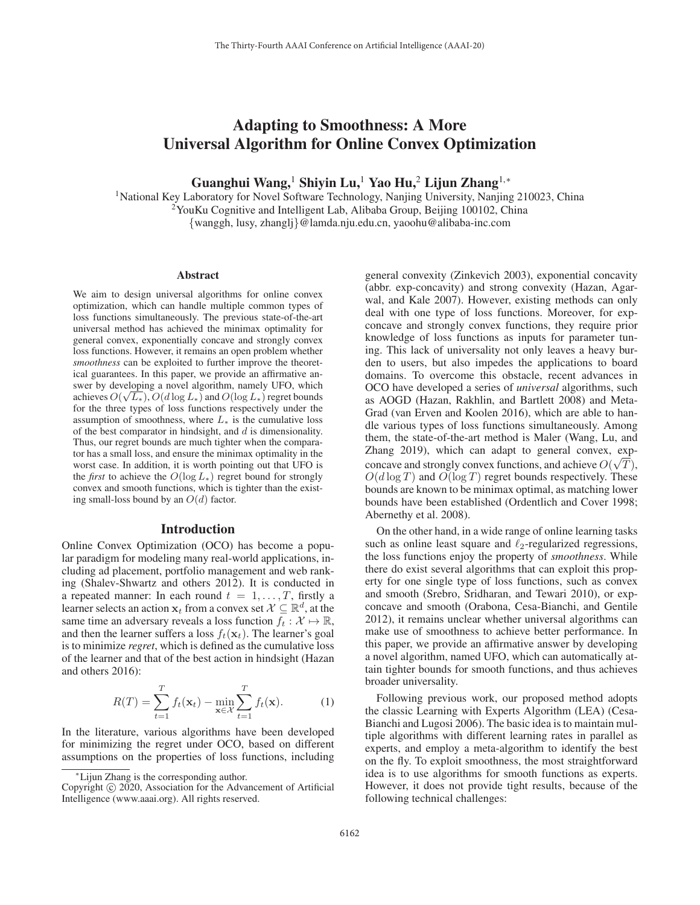# Adapting to Smoothness: A More Universal Algorithm for Online Convex Optimization

Guanghui Wang,<sup>1</sup> Shiyin Lu,<sup>1</sup> Yao Hu,<sup>2</sup> Lijun Zhang<sup>1,\*</sup>

<sup>1</sup>National Key Laboratory for Novel Software Technology, Nanjing University, Nanjing 210023, China <sup>2</sup>YouKu Cognitive and Intelligent Lab, Alibaba Group, Beijing 100102, China {wanggh, lusy, zhanglj}@lamda.nju.edu.cn, yaoohu@alibaba-inc.com

#### Abstract

We aim to design universal algorithms for online convex optimization, which can handle multiple common types of loss functions simultaneously. The previous state-of-the-art universal method has achieved the minimax optimality for general convex, exponentially concave and strongly convex loss functions. However, it remains an open problem whether *smoothness* can be exploited to further improve the theoretical guarantees. In this paper, we provide an affirmative answer by developing a novel algorithm, namely UFO, which and by a corresponding a mover ungorinally indicated by  $O(\sqrt{L_*})$ ,  $O(d \log L_*)$  and  $O(\log L_*)$  regret bounds for the three types of loss functions respectively under the for the three types of loss functions respectively under the assumption of smoothness, where  $L_*$  is the cumulative loss of the best comparator in hindsight, and  $d$  is dimensionality. Thus, our regret bounds are much tighter when the comparator has a small loss, and ensure the minimax optimality in the worst case. In addition, it is worth pointing out that UFO is the *first* to achieve the  $O(\log L_*)$  regret bound for strongly convex and smooth functions, which is tighter than the existing small-loss bound by an  $O(d)$  factor.

#### Introduction

Online Convex Optimization (OCO) has become a popular paradigm for modeling many real-world applications, including ad placement, portfolio management and web ranking (Shalev-Shwartz and others 2012). It is conducted in a repeated manner: In each round  $t = 1, \ldots, T$ , firstly a learner selects an action  $x_t$  from a convex set  $\mathcal{X} \subseteq \mathbb{R}^d$ , at the same time an adversary reveals a loss function  $f_t : \mathcal{X} \mapsto \mathbb{R}$ , and then the learner suffers a loss  $f_t(\mathbf{x}_t)$ . The learner's goal is to minimize *regret*, which is defined as the cumulative loss of the learner and that of the best action in hindsight (Hazan and others 2016):

$$
R(T) = \sum_{t=1}^{T} f_t(\mathbf{x}_t) - \min_{\mathbf{x} \in \mathcal{X}} \sum_{t=1}^{T} f_t(\mathbf{x}).
$$
 (1)

In the literature, various algorithms have been developed for minimizing the regret under OCO, based on different assumptions on the properties of loss functions, including

general convexity (Zinkevich 2003), exponential concavity (abbr. exp-concavity) and strong convexity (Hazan, Agarwal, and Kale 2007). However, existing methods can only deal with one type of loss functions. Moreover, for expconcave and strongly convex functions, they require prior knowledge of loss functions as inputs for parameter tuning. This lack of universality not only leaves a heavy burden to users, but also impedes the applications to board domains. To overcome this obstacle, recent advances in OCO have developed a series of *universal* algorithms, such as AOGD (Hazan, Rakhlin, and Bartlett 2008) and Meta-Grad (van Erven and Koolen 2016), which are able to handle various types of loss functions simultaneously. Among them, the state-of-the-art method is Maler (Wang, Lu, and Zhang 2019), which can adapt to general convex, expconcave and strongly convex functions, and achieve  $O(\sqrt{T})$ ,<br> $O(d \log T)$  and  $O(\log T)$  regret bounds respectively. These  $O(d \log T)$  and  $O(\log T)$  regret bounds respectively. These bounds are known to be minimax optimal, as matching lower bounds have been established (Ordentlich and Cover 1998; Abernethy et al. 2008).

On the other hand, in a wide range of online learning tasks such as online least square and  $\ell_2$ -regularized regressions, the loss functions enjoy the property of *smoothness*. While there do exist several algorithms that can exploit this property for one single type of loss functions, such as convex and smooth (Srebro, Sridharan, and Tewari 2010), or expconcave and smooth (Orabona, Cesa-Bianchi, and Gentile 2012), it remains unclear whether universal algorithms can make use of smoothness to achieve better performance. In this paper, we provide an affirmative answer by developing a novel algorithm, named UFO, which can automatically attain tighter bounds for smooth functions, and thus achieves broader universality.

Following previous work, our proposed method adopts the classic Learning with Experts Algorithm (LEA) (Cesa-Bianchi and Lugosi 2006). The basic idea is to maintain multiple algorithms with different learning rates in parallel as experts, and employ a meta-algorithm to identify the best on the fly. To exploit smoothness, the most straightforward idea is to use algorithms for smooth functions as experts. However, it does not provide tight results, because of the following technical challenges:

<sup>∗</sup>Lijun Zhang is the corresponding author.

Copyright  $\odot$  2020, Association for the Advancement of Artificial Intelligence (www.aaai.org). All rights reserved.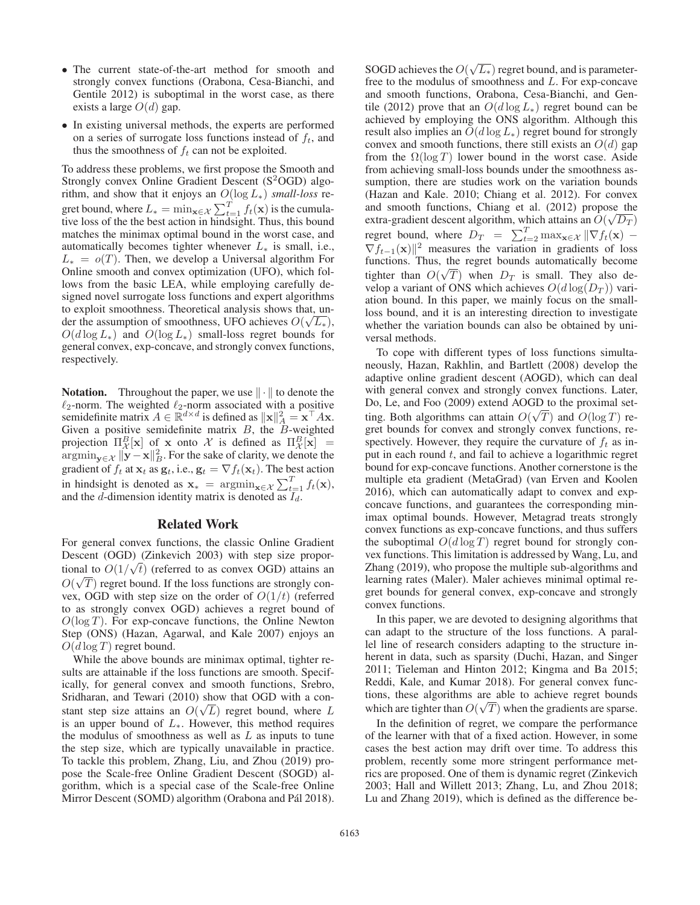- The current state-of-the-art method for smooth and strongly convex functions (Orabona, Cesa-Bianchi, and Gentile 2012) is suboptimal in the worst case, as there exists a large  $O(d)$  gap.
- In existing universal methods, the experts are performed on a series of surrogate loss functions instead of  $f_t$ , and thus the smoothness of  $f_t$  can not be exploited.

To address these problems, we first propose the Smooth and Strongly convex Online Gradient Descent  $(S^2OGD)$  algorithm, and show that it enjoys an <sup>O</sup>(log <sup>L</sup>∗) *small-loss* regret bound, where  $L_* = \min_{\mathbf{x} \in \mathcal{X}} \sum_{t=1}^T f_t(\mathbf{x})$  is the cumulative loss of the the best action in hindsight. Thus this bound tive loss of the the best action in hindsight. Thus, this bound matches the minimax optimal bound in the worst case, and automatically becomes tighter whenever  $L<sub>*</sub>$  is small, i.e.,  $L_* = o(T)$ . Then, we develop a Universal algorithm For Online smooth and convex optimization (UFO), which follows from the basic LEA, while employing carefully designed novel surrogate loss functions and expert algorithms to exploit smoothness. Theoretical analysis shows that, unto exploit smoothness. Theoretical analysis shows that, under the assumption of smoothness, UFO achieves  $O(\sqrt{L_*})$ ,  $O(d \log L_4)$  and  $O(\log L_4)$  small-loss regret bounds for  $O(d \log L_*)$  and  $O(\log L_*)$  small-loss regret bounds for general convex, exp-concave, and strongly convex functions, respectively.

**Notation.** Throughout the paper, we use  $\|\cdot\|$  to denote the  $\ell_2$ -norm. The weighted  $\ell_2$ -norm associated with a positive semidefinite matrix  $A \in \mathbb{R}^{d \times d}$  is defined as  $\|\mathbf{x}\|_{A}^{2} = \mathbf{x}^{\top} A \mathbf{x}$ .<br>Given a positive semidefinite matrix B the B-weighted Given a positive semidefinite matrix  $B$ , the  $\overline{B}$ -weighted projection  $\Pi_R^B[\mathbf{x}]$  of **x** onto X is defined as  $\Pi_R^B$ <br>argmin  $\mathbf{x} \cdot \mathbf{x} \cdot \mathbf{x}$  For the sake of clarity we den  $\argmin_{\mathbf{y} \in \mathcal{X}} ||\mathbf{y} - \mathbf{x}||_B^2$ . For the sake of clarity, we denote the gradient of f. at x. as  $\mathbf{x}$ , i.e.  $\mathbf{x} = \nabla f(\mathbf{x})$ . The best action gradient of  $f_t$  at  $\mathbf{x}_t$  as  $\mathbf{g}_t$ , i.e.,  $\mathbf{g}_t = \nabla f_t(\mathbf{x}_t)$ . The best action in hindsight is denoted as  $\mathbf{x}_* = \operatorname{argmin}_{\mathbf{x} \in \mathcal{X}} \sum_{t=1}^T f_t(\mathbf{x})$ , and the *d*-dimension identity matrix is denoted as  $I_d$ .

#### Related Work

For general convex functions, the classic Online Gradient Descent (OGD) (Zinkevich 2003) with step size propor-Descent (OGD) (Zlinkevich 2005) with step size proportional to  $O(1/\sqrt{t})$  (referred to as convex OGD) attains an  $O(\sqrt{T})$  regret bound If the loss functions are strongly con- $O(\sqrt{T})$  regret bound. If the loss functions are strongly con-<br>vex. OGD with step size on the order of  $O(1/t)$  (referred vex, OGD with step size on the order of  $O(1/t)$  (referred to as strongly convex OGD) achieves a regret bound of  $O(\log T)$ . For exp-concave functions, the Online Newton Step (ONS) (Hazan, Agarwal, and Kale 2007) enjoys an  $O(d \log T)$  regret bound.

While the above bounds are minimax optimal, tighter results are attainable if the loss functions are smooth. Specifically, for general convex and smooth functions, Srebro, Sridharan, and Tewari (2010) show that OGD with a constant step size attains an  $O(\sqrt{L})$  regret bound, where L is an upper bound of L. However this method requires is an upper bound of  $L_{\ast}$ . However, this method requires the modulus of smoothness as well as  $L$  as inputs to tune the step size, which are typically unavailable in practice. To tackle this problem, Zhang, Liu, and Zhou (2019) propose the Scale-free Online Gradient Descent (SOGD) algorithm, which is a special case of the Scale-free Online Mirror Descent (SOMD) algorithm (Orabona and Pál 2018).

SOGD achieves the  $O(\sqrt{L_*})$  regret bound, and is parameter-<br>free to the modulus of smoothness and L. For exp-concave free to the modulus of smoothness and L. For exp-concave and smooth functions, Orabona, Cesa-Bianchi, and Gentile (2012) prove that an  $O(d \log L_*)$  regret bound can be achieved by employing the ONS algorithm. Although this result also implies an  $O(d \log L_*)$  regret bound for strongly convex and smooth functions, there still exists an  $O(d)$  gap from the  $\Omega(\log T)$  lower bound in the worst case. Aside from achieving small-loss bounds under the smoothness assumption, there are studies work on the variation bounds (Hazan and Kale. 2010; Chiang et al. 2012). For convex and smooth functions, Chiang et al. (2012) propose the and smooth functions, Chiang et al. (2012) propose the<br>extra-gradient descent algorithm, which attains an  $O(\sqrt{D_T})$ regret bound, where  $D_T = \sum_{t=2}^T \max_{\mathbf{x} \in \mathcal{X}} ||\nabla f_t(\mathbf{x}) - \nabla f_{t-1}(\mathbf{x})||^2$  measures the variation in gradients of loss  $\nabla f_{t-1}(\mathbf{x})\|^2$  measures the variation in gradients of loss functions. Thus the regret bounds automatically become functions. Thus, the regret bounds automatically become tighter than  $O(\sqrt{T})$  when  $D_T$  is small. They also develop a variant of ONS which achieves  $O(d \log(D_T))$  varivelop a variant of ONS which achieves  $O(d \log(D_T))$  variation bound. In this paper, we mainly focus on the smallloss bound, and it is an interesting direction to investigate whether the variation bounds can also be obtained by universal methods.

To cope with different types of loss functions simultaneously, Hazan, Rakhlin, and Bartlett (2008) develop the adaptive online gradient descent (AOGD), which can deal with general convex and strongly convex functions. Later, Do, Le, and Foo (2009) extend AOGD to the proximal setting. Both algorithms can attain  $O(\sqrt{T})$  and  $O(\log T)$  regret bounds for convex and strongly convex functions regret bounds for convex and strongly convex functions, respectively. However, they require the curvature of  $f_t$  as input in each round  $t$ , and fail to achieve a logarithmic regret bound for exp-concave functions. Another cornerstone is the multiple eta gradient (MetaGrad) (van Erven and Koolen 2016), which can automatically adapt to convex and expconcave functions, and guarantees the corresponding minimax optimal bounds. However, Metagrad treats strongly convex functions as exp-concave functions, and thus suffers the suboptimal  $O(d \log T)$  regret bound for strongly convex functions. This limitation is addressed by Wang, Lu, and Zhang (2019), who propose the multiple sub-algorithms and learning rates (Maler). Maler achieves minimal optimal regret bounds for general convex, exp-concave and strongly convex functions.

In this paper, we are devoted to designing algorithms that can adapt to the structure of the loss functions. A parallel line of research considers adapting to the structure inherent in data, such as sparsity (Duchi, Hazan, and Singer 2011; Tieleman and Hinton 2012; Kingma and Ba 2015; Reddi, Kale, and Kumar 2018). For general convex functions, these algorithms are able to achieve regret bounds which are tighter than  $O(\sqrt{T})$  when the gradients are sparse.<br>In the definition of recret, we compare the performance

In the definition of regret, we compare the performance of the learner with that of a fixed action. However, in some cases the best action may drift over time. To address this problem, recently some more stringent performance metrics are proposed. One of them is dynamic regret (Zinkevich 2003; Hall and Willett 2013; Zhang, Lu, and Zhou 2018; Lu and Zhang 2019), which is defined as the difference be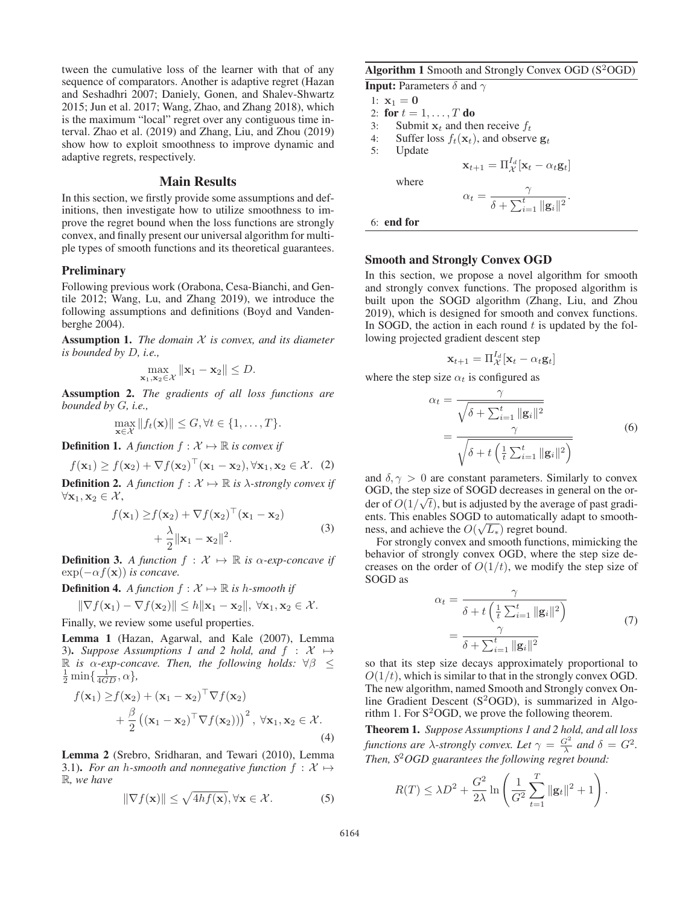tween the cumulative loss of the learner with that of any sequence of comparators. Another is adaptive regret (Hazan and Seshadhri 2007; Daniely, Gonen, and Shalev-Shwartz 2015; Jun et al. 2017; Wang, Zhao, and Zhang 2018), which is the maximum "local" regret over any contiguous time interval. Zhao et al. (2019) and Zhang, Liu, and Zhou (2019) show how to exploit smoothness to improve dynamic and adaptive regrets, respectively.

## Main Results

In this section, we firstly provide some assumptions and definitions, then investigate how to utilize smoothness to improve the regret bound when the loss functions are strongly convex, and finally present our universal algorithm for multiple types of smooth functions and its theoretical guarantees.

#### **Preliminary**

Following previous work (Orabona, Cesa-Bianchi, and Gentile 2012; Wang, Lu, and Zhang 2019), we introduce the following assumptions and definitions (Boyd and Vandenberghe 2004).

Assumption 1. *The domain* X *is convex, and its diameter is bounded by* D*, i.e.,*

$$
\max_{\mathbf{x}_1,\mathbf{x}_2\in\mathcal{X}}\|\mathbf{x}_1-\mathbf{x}_2\|\leq D.
$$

Assumption 2. *The gradients of all loss functions are bounded by* G*, i.e.,*

 $\max_{\mathbf{x} \in \mathcal{X}} ||f_t(\mathbf{x})|| \leq G, \forall t \in \{1, \ldots, T\}.$ 

**Definition 1.** *A function*  $f : \mathcal{X} \mapsto \mathbb{R}$  *is convex if* 

$$
f(\mathbf{x}_1) \ge f(\mathbf{x}_2) + \nabla f(\mathbf{x}_2)^\top (\mathbf{x}_1 - \mathbf{x}_2), \forall \mathbf{x}_1, \mathbf{x}_2 \in \mathcal{X}. \tag{2}
$$

**Definition 2.** *A function*  $f : \mathcal{X} \mapsto \mathbb{R}$  *is*  $\lambda$ -strongly convex *if*  $\forall$ **x**, **x**<sub>0</sub>  $\in \mathcal{X}$  $\forall$ **x**<sub>1</sub>, **x**<sub>2</sub> ∈ X<sup>2</sup>,

$$
f(\mathbf{x}_1) \ge f(\mathbf{x}_2) + \nabla f(\mathbf{x}_2)^\top (\mathbf{x}_1 - \mathbf{x}_2)
$$
  
+ 
$$
\frac{\lambda}{2} ||\mathbf{x}_1 - \mathbf{x}_2||^2.
$$
 (3)

**Definition 3.** *A function*  $f : \mathcal{X} \mapsto \mathbb{R}$  *is*  $\alpha$ -exp-concave *if*  $\exp(-\alpha f(\mathbf{x}))$  *is concave*  $\exp(-\alpha f(\mathbf{x}))$  *is concave.* 

**Definition 4.** *A function*  $f : \mathcal{X} \mapsto \mathbb{R}$  *is h-smooth if* 

$$
\|\nabla f(\mathbf{x}_1) - \nabla f(\mathbf{x}_2)\| \le h \|\mathbf{x}_1 - \mathbf{x}_2\|, \ \forall \mathbf{x}_1, \mathbf{x}_2 \in \mathcal{X}.
$$
  
Finally, we review some useful properties.

Lemma 1 (Hazan, Agarwal, and Kale (2007), Lemma 3). Suppose Assumptions 1 and 2 hold, and  $f : \mathcal{X} \mapsto$ R *is*  $\alpha$ -exp-concave. Then, the following holds:  $\forall \beta \leq$  $\frac{1}{2}$  min $\left\{\frac{1}{4GD}, \alpha\right\},$ 

$$
f(\mathbf{x}_1) \ge f(\mathbf{x}_2) + (\mathbf{x}_1 - \mathbf{x}_2)^{\top} \nabla f(\mathbf{x}_2)
$$
  
+  $\frac{\beta}{2} ((\mathbf{x}_1 - \mathbf{x}_2)^{\top} \nabla f(\mathbf{x}_2)))^2, \forall \mathbf{x}_1, \mathbf{x}_2 \in \mathcal{X}.$  (4)

Lemma 2 (Srebro, Sridharan, and Tewari (2010), Lemma 3.1). *For an h-smooth and nonnegative function*  $f : \mathcal{X} \mapsto$ R*, we have*

$$
\|\nabla f(\mathbf{x})\| \le \sqrt{4hf(\mathbf{x})}, \forall \mathbf{x} \in \mathcal{X}.
$$
 (5)

**Algorithm 1** Smooth and Strongly Convex OGD  $(S^2OGD)$ 

 $\mathbf{x}_{t+1} = \prod_{\mathcal{X}}^{I_d} [\mathbf{x}_t - \alpha_t \mathbf{g}_t]$ 

 $\frac{\gamma}{\delta + \sum_{i=1}^t \|\mathbf{g}_i\|^2}.$ 

 $\alpha_t = \frac{\gamma}{\delta + \sum_{i=1}^t}$ 

**Input:** Parameters  $\delta$  and  $\gamma$ 

1:  $x_1 = 0$ 

2: for  $t = 1, ..., T$  do<br>3: Submit  $\mathbf{x}_t$  and the

3: Submit  $\mathbf{x}_t$  and then receive  $f_t$ <br>4: Suffer loss  $f_t(\mathbf{x}_t)$ , and observ

4: Suffer loss  $f_t(\mathbf{x}_t)$ , and observe  $\mathbf{g}_t$ <br>5: Update

**Update** 

where

6: end for

#### Smooth and Strongly Convex OGD

In this section, we propose a novel algorithm for smooth and strongly convex functions. The proposed algorithm is built upon the SOGD algorithm (Zhang, Liu, and Zhou 2019), which is designed for smooth and convex functions. In SOGD, the action in each round  $t$  is updated by the following projected gradient descent step

$$
\mathbf{x}_{t+1} = \Pi_{\mathcal{X}}^{I_d} [\mathbf{x}_t - \alpha_t \mathbf{g}_t]
$$

where the step size  $\alpha_t$  is configured as

$$
\alpha_{t} = \frac{\gamma}{\sqrt{\delta + \sum_{i=1}^{t} ||\mathbf{g}_{i}||^{2}}}
$$
\n
$$
= \frac{\gamma}{\sqrt{\delta + t\left(\frac{1}{t}\sum_{i=1}^{t} ||\mathbf{g}_{i}||^{2}\right)}}
$$
\n(6)

and  $\delta, \gamma > 0$  are constant parameters. Similarly to convex OGD, the step size of SOGD decreases in general on the or-OGD, the step size of SOGD decreases in general on the of-<br>der of  $O(1/\sqrt{t})$ , but is adjusted by the average of past gradi-<br>ents. This enables SOGD to automatically adapt to smoothents. This enables SOGD to automatically adapt to smoothents. This enables SOGD to automatically a<br>ness, and achieve the  $O(\sqrt{L_*})$  regret bound.<br>For strongly convex and smooth functions

For strongly convex and smooth functions, mimicking the behavior of strongly convex OGD, where the step size decreases on the order of  $O(1/t)$ , we modify the step size of SOGD as

$$
\alpha_t = \frac{\gamma}{\delta + t \left(\frac{1}{t} \sum_{i=1}^t ||\mathbf{g}_i||^2\right)}
$$

$$
= \frac{\gamma}{\delta + \sum_{i=1}^t ||\mathbf{g}_i||^2}
$$
(7)

so that its step size decays approximately proportional to  $O(1/t)$ , which is similar to that in the strongly convex OGD. The new algorithm, named Smooth and Strongly convex Online Gradient Descent  $(S^2OGD)$ , is summarized in Algorithm 1. For  $S^2$ OGD, we prove the following theorem.

Theorem 1. *Suppose Assumptions 1 and 2 hold, and all loss functions are*  $\lambda$ -strongly convex. Let  $\gamma = \frac{G^2}{\lambda}$  and  $\delta = G^2$ . Then, S<sup>2</sup>OGD guarantees the following regret bound:

$$
R(T) \le \lambda D^2 + \frac{G^2}{2\lambda} \ln \left( \frac{1}{G^2} \sum_{t=1}^T ||\mathbf{g}_t||^2 + 1 \right).
$$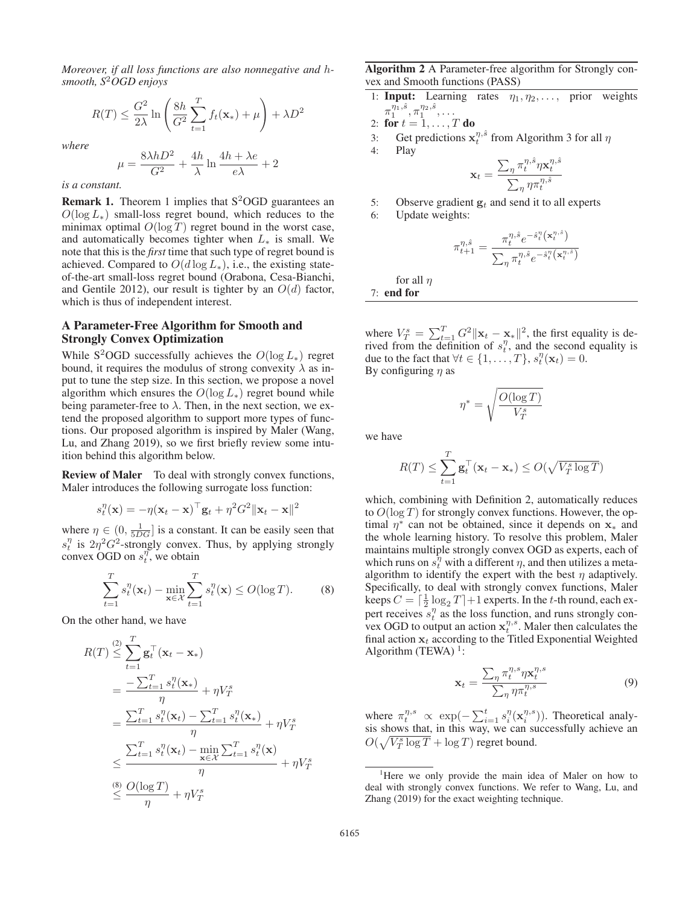*Moreover, if all loss functions are also nonnegative and* h*smooth, S*2*OGD enjoys*

$$
R(T) \le \frac{G^2}{2\lambda} \ln \left( \frac{8h}{G^2} \sum_{t=1}^T f_t(\mathbf{x}_*) + \mu \right) + \lambda D^2
$$

*where*

$$
\mu = \frac{8\lambda hD^2}{G^2} + \frac{4h}{\lambda} \ln \frac{4h + \lambda e}{e\lambda} + 2
$$

*is a constant.*

**Remark 1.** Theorem 1 implies that  $S^2$ OGD guarantees an  $O(\log L_{*})$  small-loss regret bound, which reduces to the minimax optimal  $O(\log T)$  regret bound in the worst case, and automatically becomes tighter when  $L_*$  is small. We note that this is the *first* time that such type of regret bound is achieved. Compared to  $O(d \log L_*)$ , i.e., the existing stateof-the-art small-loss regret bound (Orabona, Cesa-Bianchi, and Gentile 2012), our result is tighter by an  $O(d)$  factor, which is thus of independent interest.

## A Parameter-Free Algorithm for Smooth and Strongly Convex Optimization

While S<sup>2</sup>OGD successfully achieves the  $O(\log L_*)$  regret bound, it requires the modulus of strong convexity  $\lambda$  as input to tune the step size. In this section, we propose a novel algorithm which ensures the  $O(\log L_*)$  regret bound while being parameter-free to  $\lambda$ . Then, in the next section, we extend the proposed algorithm to support more types of functions. Our proposed algorithm is inspired by Maler (Wang, Lu, and Zhang 2019), so we first briefly review some intuition behind this algorithm below.

**Review of Maler** To deal with strongly convex functions, Maler introduces the following surrogate loss function:

$$
s_t^{\eta}(\mathbf{x}) = -\eta(\mathbf{x}_t - \mathbf{x})^{\top} \mathbf{g}_t + \eta^2 G^2 ||\mathbf{x}_t - \mathbf{x}||^2
$$

where  $\eta \in (0, \frac{1}{5DG})$  is a constant. It can be easily seen that  $e^{\eta}$  is  $2\pi^2 C^2$  strongly convex. Thus, by applying strongly  $s_t^{\eta}$  is  $2\eta^2 G^2$ -strongly convex. Thus, by applying strongly<br>convex OGD on  $s_t^{\eta}$  we obtain convex OGD on  $s_t^{\eta}$ , we obtain

$$
\sum_{t=1}^{T} s_t^{\eta}(\mathbf{x}_t) - \min_{\mathbf{x} \in \mathcal{X}} \sum_{t=1}^{T} s_t^{\eta}(\mathbf{x}) \le O(\log T). \tag{8}
$$

On the other hand, we have

$$
R(T) \leq \sum_{t=1}^{T} \mathbf{g}_t^{\top} (\mathbf{x}_t - \mathbf{x}_*)
$$
  
= 
$$
\frac{-\sum_{t=1}^{T} s_t^{\eta} (\mathbf{x}_*)}{\eta} + \eta V_T^s
$$
  
= 
$$
\frac{\sum_{t=1}^{T} s_t^{\eta} (\mathbf{x}_t) - \sum_{t=1}^{T} s_t^{\eta} (\mathbf{x}_*)}{\eta} + \eta V_T^s
$$
  

$$
\leq \frac{\sum_{t=1}^{T} s_t^{\eta} (\mathbf{x}_t) - \min_{\mathbf{x} \in \mathcal{X}} \sum_{t=1}^{T} s_t^{\eta} (\mathbf{x})}{\eta} + \eta V_T^s
$$
  

$$
\leq \frac{O(\log T)}{\eta} + \eta V_T^s
$$

Algorithm 2 A Parameter-free algorithm for Strongly convex and Smooth functions (PASS)

1: **Input:** Learning rates  $\eta_1, \eta_2, \ldots$ , prior weights  $\pi_1^{\eta_1, \hat{s}}, \pi_1^{\eta_2, \hat{s}}, \ldots$ 

2: for 
$$
t = 1, ..., T
$$
 do  
3: Get predictions  $x^{\eta}$ .

- 3: Get predictions  $\mathbf{x}_t^{\eta, \hat{s}}$  from Algorithm 3 for all  $\eta$
- 4: Play

$$
\mathbf{x}_t = \frac{\sum_{\eta} \pi_t^{\eta, \hat{s}} \eta \mathbf{x}_t^{\eta, \hat{s}}}{\sum_{\eta} \eta \pi_t^{\eta, \hat{s}}}
$$

5: Observe gradient  $\mathbf{g}_t$  and send it to all experts 6: Undate weights:

Update weights:

$$
\pi^{\eta,\hat{s}}_{t+1} = \frac{\pi^{\eta,\hat{s}}_t e^{-\hat{s}^\eta_t\left(\mathbf{x}^{\eta,\hat{s}}_t\right)}}{\sum_\eta \pi^{\eta,\hat{s}}_t e^{-\hat{s}^\eta_t\left(\mathbf{x}^{\eta,\hat{s}}_t\right)}}
$$

for all  $n$ 

7: end for

where  $V_T^s = \sum_{t=1}^T G^2 ||\mathbf{x}_t - \mathbf{x}_*||^2$ , the first equality is de-<br>rived from the definition of  $s_t^{\eta}$  and the second equality is where  $r_T \sum_{t=1}^{\infty}$   $\sum_{n=1}^{\infty}$  or  $\frac{r_{n+1}}{s_n}$ , and the second equality is due to the fact that  $\forall t \in \{1, ..., T\}$ ,  $s_t^{\eta}(\mathbf{x}_t) = 0$ .<br>By configuring *n* as By configuring  $\eta$  as

$$
\eta^* = \sqrt{\frac{O(\log T)}{V_T^s}}
$$

we have

$$
R(T) \le \sum_{t=1}^{T} \mathbf{g}_t^{\top} (\mathbf{x}_t - \mathbf{x}_*) \le O(\sqrt{V_T^s \log T})
$$

which, combining with Definition 2, automatically reduces to  $O(\log T)$  for strongly convex functions. However, the optimal  $\eta^*$  can not be obtained, since it depends on **x**<sup>\*</sup> and the whole learning history. To resolve this problem, Maler maintains multiple strongly convex OGD as experts, each of which runs on  $s_l^{\eta}$  with a different  $\eta$ , and then utilizes a metaalgorithm to identify the expert with the best  $\eta$  adaptively. Specifically, to deal with strongly convex functions, Maler keeps  $C = \left[\frac{1}{2}\log_2 T\right] + 1$  experts. In the t-th round, each ex-<br>pert receives  $s^{\eta}$  as the loss function, and runs strongly conpert receives  $s_t^{\eta}$  as the loss function, and runs strongly convex OGD to output an action  $\mathbf{x}_t^{\eta,s}$ . Maler then calculates the final action  $\mathbf{x}_t$  according to the Titled Exponential Weighted final action  $x_t$  according to the Titled Exponential Weighted Algorithm (TEWA) $<sup>1</sup>$ :</sup>

$$
\mathbf{x}_t = \frac{\sum_{\eta} \pi_t^{\eta,s} \eta \mathbf{x}_t^{\eta,s}}{\sum_{\eta} \eta \pi_t^{\eta,s}}
$$
(9)

where  $\pi_t^{\eta,s} \propto \exp(-\sum_{i=1}^t s_i^{\eta}(\mathbf{x}_i^{\eta,s}))$ . Theoretical analysis shows that, in this way, we can successfully achieve an  $O(\sqrt{V_T^s \log T} + \log T)$  regret bound.

<sup>&</sup>lt;sup>1</sup>Here we only provide the main idea of Maler on how to deal with strongly convex functions. We refer to Wang, Lu, and Zhang (2019) for the exact weighting technique.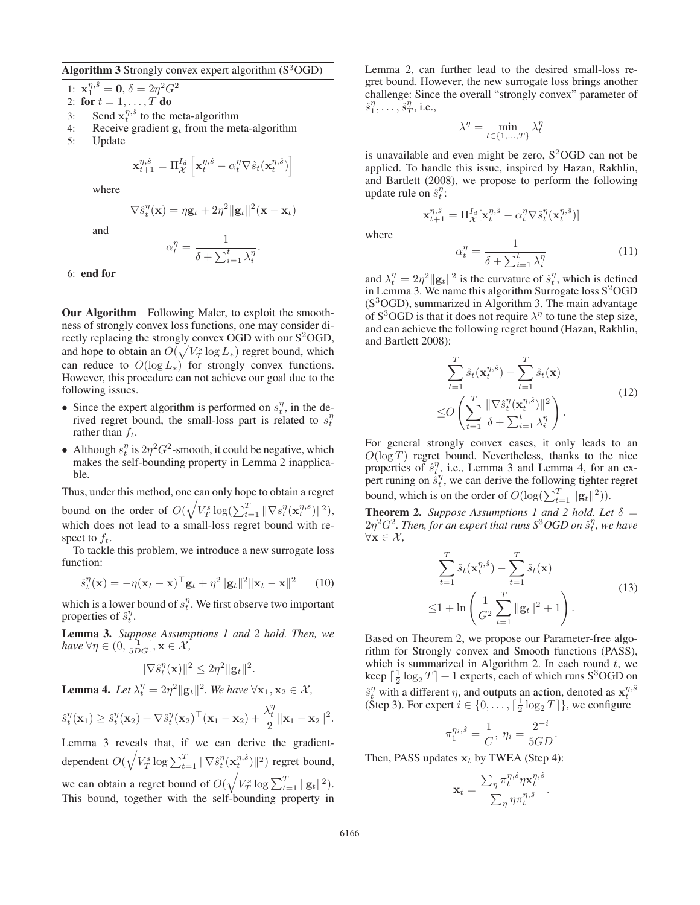Algorithm 3 Strongly convex expert algorithm  $(S<sup>3</sup>OGD)$ 

1:  $\mathbf{x}_1^{\eta, \hat{s}} = \mathbf{0}, \delta = 2\eta^2 G^2$ <br>2: **for**  $t = 1$  *T* do

- 2: for  $t = 1, ..., T$  do<br>3: Send  $\mathbf{x}_{t}^{\eta, \hat{s}}$  to the n
- 3: Send  $\mathbf{x}_t^{\eta, \hat{s}}$  to the meta-algorithm<br>4. Receive gradient  $\boldsymbol{\sigma}_t$  from the me
- 4: Receive gradient  $\mathbf{g}_t$  from the meta-algorithm 5: Update
- Update

$$
\mathbf{x}_{t+1}^{\eta,\hat{s}} = \Pi_{\mathcal{X}}^{I_d} \left[ \mathbf{x}_t^{\eta,\hat{s}} - \alpha_t^{\eta} \nabla \hat{s}_t(\mathbf{x}_t^{\eta,\hat{s}}) \right]
$$

1

where

and

$$
\nabla \hat{s}_t^{\eta}(\mathbf{x}) = \eta \mathbf{g}_t + 2\eta^2 \|\mathbf{g}_t\|^2 (\mathbf{x} - \mathbf{x}_t)
$$

$$
\alpha_t^{\eta} = \frac{1}{\delta + \sum_{i=1}^t \lambda_i^{\eta}}.
$$

6: end for

Our Algorithm Following Maler, to exploit the smoothness of strongly convex loss functions, one may consider directly replacing the strongly convex OGD with our  $S^2$ OGD, and hope to obtain an  $O(\sqrt{V_T^s \log L_*)}$  regret bound, which can reduce to  $O(\log L_*)$  for strongly convex functions. However, this procedure can not achieve our goal due to the following issues.

- Since the expert algorithm is performed on  $s_t^{\eta}$ , in the derived regret bound, the small-loss part is related to  $s_t^{\tau}$ rather than  $f_t$ .
- Although  $s_t^{\eta}$  is  $2\eta^2 G^2$ -smooth, it could be negative, which makes the self-bounding property in Lemma 2 inapplicamakes the self-bounding property in Lemma 2 inapplicable.

Thus, under this method, one can only hope to obtain a regret

bound on the order of  $O(\sqrt{V_T^s \log(\sum_{t=1}^T ||\nabla s_t^n(\mathbf{x}_t^{n,s})||^2})$ , which does not lead to a small-loss regret bound with respect to  $f_t$ .

To tackle this problem, we introduce a new surrogate loss function:

$$
\hat{s}_t^{\eta}(\mathbf{x}) = -\eta(\mathbf{x}_t - \mathbf{x})^{\top} \mathbf{g}_t + \eta^2 \|\mathbf{g}_t\|^2 \|\mathbf{x}_t - \mathbf{x}\|^2 \qquad (10)
$$

which is a lower bound of  $s_t^n$ . We first observe two important properties of  $\hat{s}_t^{\eta}$ .

Lemma 3. *Suppose Assumptions 1 and 2 hold. Then, we have*  $\forall \eta \in \left(0, \frac{1}{5DG}\right], \mathbf{x} \in \mathcal{X},\$ 

$$
\|\nabla \hat{s}_t^{\eta}(\mathbf{x})\|^2 \leq 2\eta^2 \|\mathbf{g}_t\|^2.
$$

**Lemma 4.** Let  $\lambda_t^{\eta} = 2\eta^2 ||\mathbf{g}_t||^2$ . We have  $\forall \mathbf{x}_1, \mathbf{x}_2 \in \mathcal{X}$ ,

$$
\hat{s}_t^{\eta}(\mathbf{x}_1) \ge \hat{s}_t^{\eta}(\mathbf{x}_2) + \nabla \hat{s}_t^{\eta}(\mathbf{x}_2)^{\top}(\mathbf{x}_1 - \mathbf{x}_2) + \frac{\lambda_t^{\eta}}{2} \|\mathbf{x}_1 - \mathbf{x}_2\|^2.
$$
  
Lemma 3 reveals that, if we can derive the gradient-

dependent  $O(\sqrt{V_T^s \log \sum_{t=1}^T ||\nabla \hat{s}_t^{\eta}(\mathbf{x}_t^{\eta,\hat{s}})||^2})$  regret bound, we can obtain a regret bound of  $O(\sqrt{V_T^s \log \sum_{t=1}^T ||\mathbf{g}_t||^2})$ .<br>This bound, together with the self bounding property in This bound, together with the self-bounding property in Lemma 2, can further lead to the desired small-loss regret bound. However, the new surrogate loss brings another challenge: Since the overall "strongly convex" parameter of  $\hat{s}_1^{\eta}, \ldots, \hat{s}_T^{\eta}$ , i.e.,

$$
\lambda^{\eta} = \min_{t \in \{1, \dots, T\}} \lambda_t^{\eta}
$$

is unavailable and even might be zero,  $S^2$ OGD can not be applied. To handle this issue, inspired by Hazan, Rakhlin, and Bartlett (2008), we propose to perform the following update rule on  $\hat{s}_t^{\eta}$ :

 $\mathbf{x}_{t+1}^{\eta,\hat{s}} = \Pi_{\mathcal{X}}^{I_d} [\mathbf{x}_t^{\eta,\hat{s}} - \alpha_t^{\eta} \nabla \hat{s}_t^{\eta} (\mathbf{x}_t^{\eta,\hat{s}})]$ 

where

$$
\alpha_t^{\eta} = \frac{1}{\delta + \sum_{i=1}^t \lambda_i^{\eta}}
$$
\n(11)

and  $\lambda_t^{\eta} = 2\eta^2 ||\mathbf{g}_t||^2$  is the curvature of  $\hat{s}_t^{\eta}$ , which is defined<br>in Lemma 3. We name this algorithm Surrogate loss S<sup>2</sup>OGD in Lemma 3. We name this algorithm Surrogate loss  $S^2$ OGD  $(S<sup>3</sup>OGD)$ , summarized in Algorithm 3. The main advantage of S<sup>3</sup>OGD is that it does not require  $\lambda^{\eta}$  to tune the step size, and can achieve the following regret bound (Hazan, Rakhlin, and Bartlett 2008):

$$
\sum_{t=1}^{T} \hat{s}_t(\mathbf{x}_t^{\eta,\hat{s}}) - \sum_{t=1}^{T} \hat{s}_t(\mathbf{x})
$$
\n
$$
\leq O\left(\sum_{t=1}^{T} \frac{\|\nabla \hat{s}_t^{\eta}(\mathbf{x}_t^{\eta,\hat{s}})\|^2}{\delta + \sum_{i=1}^{t} \lambda_i^{\eta}}\right).
$$
\n(12)

For general strongly convex cases, it only leads to an  $O(\log T)$  regret bound. Nevertheless, thanks to the nice<br>properties of  $\hat{s}_i^{\eta}$  i.e. Lemma 3 and Lemma 4 for an exproperties of  $\hat{s}_t^{\eta}$ , i.e., Lemma 3 and Lemma 4, for an ex-<br>pert runing on  $\hat{s}_t^{\eta}$  we can derive the following tighter regret perfective of  $\hat{\sigma}_t^T$ , i.e., Exhibit  $\hat{\sigma}_t$  and Exhibit 1, for an expect<br>pert runing on  $\hat{s}_t^T$ , we can derive the following tighter regret bound, which is on the order of  $O(\log(\sum_{t=1}^{T} ||\mathbf{g}_t||^2)).$ 

**Theorem 2.** *Suppose Assumptions 1 and 2 hold. Let*  $\delta$  =  $2\eta^2 G^2$ . Then, for an expert that runs  $S^3 OGD$  on  $\hat{s}_t^{\eta}$ , we have  $\forall \mathbf{x} \in \mathcal{X}$ <sup>∀</sup>**x** ∈ X *,*

$$
\sum_{t=1}^{T} \hat{s}_t(\mathbf{x}_t^{\eta,\hat{s}}) - \sum_{t=1}^{T} \hat{s}_t(\mathbf{x})
$$
  
 
$$
\leq 1 + \ln\left(\frac{1}{G^2} \sum_{t=1}^{T} ||\mathbf{g}_t||^2 + 1\right).
$$
 (13)

Based on Theorem 2, we propose our Parameter-free algorithm for Strongly convex and Smooth functions (PASS), which is summarized in Algorithm 2. In each round  $t$ , we keep  $\left[\frac{1}{2}\log_2 T\right] + 1$  experts, each of which runs S<sup>3</sup>OGD on<br>  $\hat{f}^{\eta}$  with a different use of sutputs an action, denoted as  $\hat{f}^{\eta,\hat{S}}$  $\hat{s}_t^{\eta}$  with a different η, and outputs an action, denoted as  $\mathbf{x}_t^{\eta, \hat{s}}$ <br>
(Sten 3) For expert  $i \in \{0, \dots, \lceil \frac{1}{2} \rceil \log_2 T \rceil\}$  we configure (Step 3). For expert  $i \in \{0, \ldots, \lceil \frac{1}{2} \log_2 T \rceil\}$ , we configure

$$
\pi_1^{\eta_i, \hat{s}} = \frac{1}{C}, \ \eta_i = \frac{2^{-i}}{5GD}.
$$

Then, PASS updates  $\mathbf{x}_t$  by TWEA (Step 4):

$$
\mathbf{x}_t = \frac{\sum_{\eta} \pi_t^{\eta, \hat{s}} \eta \mathbf{x}_t^{\eta, \hat{s}}}{\sum_{\eta} \eta \pi_t^{\eta, \hat{s}}}.
$$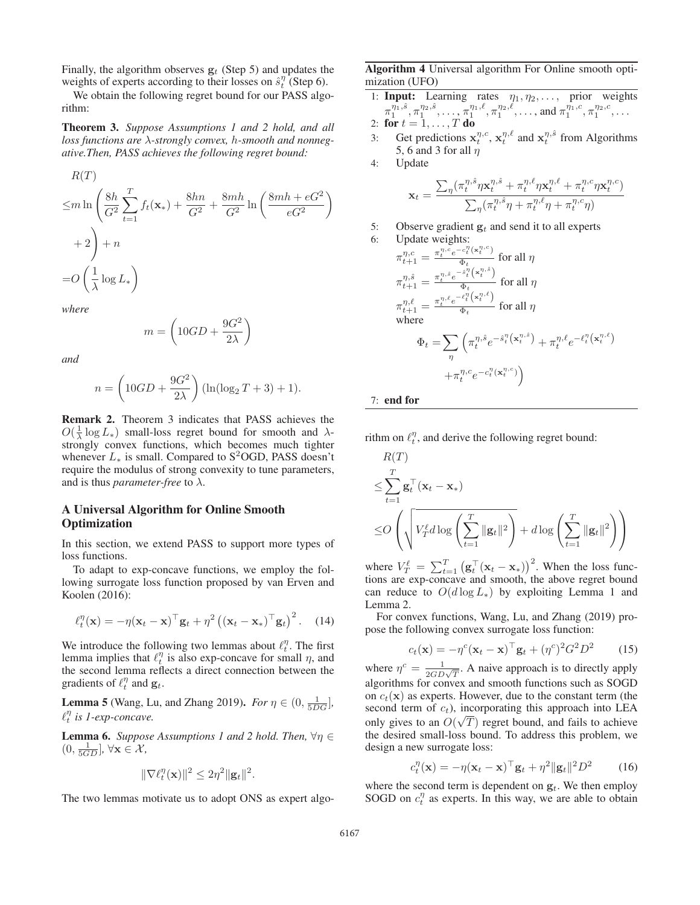Finally, the algorithm observes  $g_t$  (Step 5) and updates the weights of experts according to their losses on  $\hat{s}_t^{\eta}$  (Step 6).<br>We obtain the following regret bound for our PASS algo

We obtain the following regret bound for our PASS algorithm:

Theorem 3. *Suppose Assumptions 1 and 2 hold, and all loss functions are* λ*-strongly convex,* h*-smooth and nonnegative.Then, PASS achieves the following regret bound:*

$$
R(T)
$$
  
\n
$$
\leq m \ln \left( \frac{8h}{G^2} \sum_{t=1}^T f_t(\mathbf{x}_*) + \frac{8hn}{G^2} + \frac{8mh}{G^2} \ln \left( \frac{8mh + eG^2}{eG^2} \right) + 2 \right) + n
$$
  
\n
$$
= O\left( \frac{1}{\lambda} \log L_* \right)
$$

*where*

$$
m = \left(10GD + \frac{9G^2}{2\lambda}\right)
$$

*and*

$$
n = \left(10GD + \frac{9G^2}{2\lambda}\right) (\ln(\log_2 T + 3) + 1).
$$

Remark 2. Theorem 3 indicates that PASS achieves the  $O(\frac{1}{\lambda} \log L_*)$  small-loss regret bound for smooth and  $\lambda$ -strongly convex functions, which becomes much tighter strongly convex functions, which becomes much tighter whenever  $L_*$  is small. Compared to S<sup>2</sup>OGD, PASS doesn't require the modulus of strong convexity to tune parameters, and is thus *parameter-free* to  $\lambda$ .

## A Universal Algorithm for Online Smooth **Optimization**

In this section, we extend PASS to support more types of loss functions.

To adapt to exp-concave functions, we employ the following surrogate loss function proposed by van Erven and Koolen (2016):

$$
\ell_t^{\eta}(\mathbf{x}) = -\eta(\mathbf{x}_t - \mathbf{x})^{\top} \mathbf{g}_t + \eta^2 (\left(\mathbf{x}_t - \mathbf{x}_*\right)^{\top} \mathbf{g}_t)^2. \quad (14)
$$

We introduce the following two lemmas about  $\ell_t^{\eta}$ . The first lemma implies that  $\ell_l^{\eta}$  is also exp-concave for small  $\eta$ , and the second lemma reflects a direct connection between the gradients of  $\ell_t^{\eta}$  and  $\mathbf{g}_t$ .

**Lemma 5** (Wang, Lu, and Zhang 2019). *For*  $\eta \in (0, \frac{1}{5DG}]$ ,  $\ell^{\eta}$  is Leyn-concave  $\ell_t^{\eta}$  is 1-exp-concave.

**Lemma 6.** *Suppose Assumptions 1 and 2 hold. Then,*  $\forall \eta \in$  $(0, \frac{1}{5GD}], \forall \mathbf{x} \in \mathcal{X},$ 

$$
\|\nabla \ell_t^{\eta}(\mathbf{x})\|^2 \leq 2\eta^2 \|\mathbf{g}_t\|^2.
$$

The two lemmas motivate us to adopt ONS as expert algo-

Algorithm 4 Universal algorithm For Online smooth optimization (UFO)

- 1: **Input:** Learning rates  $\eta_1, \eta_2, \ldots$ , prior weights  $\pi_1^{\bar{\eta}_1,\hat{s}}, \pi_1^{\eta_2,\hat{s}}, \ldots, \pi_1^{\eta_1,\ell}, \pi_1^{\eta_2,\ell}, \ldots, \text{and } \pi_1^{\eta_1,c}, \pi_1^{\eta_2,c}, \ldots$
- 2: for  $t = 1, ..., T$  do<br>3. Get predictions x
- 3: Get predictions  $\mathbf{x}_t^{\eta,c}$ ,  $\mathbf{x}_t^{\eta,\ell}$  and  $\mathbf{x}_t^{\eta,\hat{s}}$  from Algorithms 5.6 and 3 for all *n* 5, 6 and 3 for all  $\eta$
- 4: Update

$$
\mathbf{x}_t = \frac{\sum_{\eta} (\pi_t^{\eta,\hat{s}} \eta \mathbf{x}_t^{\eta,\hat{s}} + \pi_t^{\eta,\ell} \eta \mathbf{x}_t^{\eta,\ell} + \pi_t^{\eta,c} \eta \mathbf{x}_t^{\eta,c})}{\sum_{\eta} (\pi_t^{\eta,\hat{s}} \eta + \pi_t^{\eta,\ell} \eta + \pi_t^{\eta,c} \eta)}
$$

5: Observe gradient  $\mathbf{g}_t$  and send it to all experts 6: Undate weights:

6: Update weights:  
\n
$$
\pi_{t+1}^{\eta,c} = \frac{\pi_t^{\eta,c} e^{-c_t^{\eta}(\mathbf{x}_t^{\eta,c})}}{\Phi_t} \text{ for all } \eta
$$
\n
$$
\pi_{t+1}^{\eta,\hat{s}} = \frac{\pi_t^{\eta,\hat{s}} e^{-\hat{s}_t^{\eta}(\mathbf{x}_t^{\eta,\hat{s}})}}{\Phi_t} \text{ for all } \eta
$$
\n
$$
\pi_{t+1}^{\eta,\hat{\ell}} = \frac{\pi_t^{\eta,\hat{\ell}} e^{-\ell_t^{\eta}(\mathbf{x}_t^{\eta,\hat{\ell}})}}{\Phi_t} \text{ for all } \eta
$$
\nwhere\n
$$
\Phi_t = \sum_{\eta} \left( \pi_t^{\eta,\hat{s}} e^{-\hat{s}_t^{\eta}(\mathbf{x}_t^{\eta,\hat{s}})} + \pi_t^{\eta,\hat{\ell}} e^{-\ell_t^{\eta}(\mathbf{x}_t^{\eta,\hat{\ell}})} \right)
$$
\n
$$
+ \pi_t^{\eta,c} e^{-c_t^{\eta}(\mathbf{x}_t^{\eta,\hat{c}})} \right)
$$

7: end for

rithm on  $\ell_t^{\eta}$ , and derive the following regret bound:

$$
R(T)
$$
  
\n
$$
\leq \sum_{t=1}^{T} \mathbf{g}_t^{\top} (\mathbf{x}_t - \mathbf{x}_*)
$$
  
\n
$$
\leq O\left(\sqrt{\frac{V_t^{\ell} d \log \left(\sum_{t=1}^{T} ||\mathbf{g}_t||^2\right)}{1 + d \log \left(\sum_{t=1}^{T} ||\mathbf{g}_t||^2\right)}}\right)
$$

where  $V_T^{\ell} = \sum_{t=1}^T (\mathbf{g}_t^{\top} (\mathbf{x}_t - \mathbf{x}_*))^2$ . When the loss functions are exp-concave and smooth the above regret bound tions are exp-concave and smooth, the above regret bound can reduce to  $O(d \log L_*)$  by exploiting Lemma 1 and Lemma 2.

For convex functions, Wang, Lu, and Zhang (2019) propose the following convex surrogate loss function:

$$
c_t(\mathbf{x}) = -\eta^c(\mathbf{x}_t - \mathbf{x})^\top \mathbf{g}_t + (\eta^c)^2 G^2 D^2 \qquad (15)
$$

 $c_t(\mathbf{x}) = -\eta^c(\mathbf{x}_t - \mathbf{x})^\top \mathbf{g}_t + (\eta^c)^2 G^2 D^2$  (15)<br>where  $\eta^c = \frac{1}{2G D \sqrt{T}}$ . A naive approach is to directly apply<br>electricians for example and emocial functions such as SOGD algorithms for convex and smooth functions such as SOGD on  $c_t(\mathbf{x})$  as experts. However, due to the constant term (the second term of  $c_t$ ), incorporating this approach into LEA only gives to an  $O(\sqrt{T})$  regret bound, and fails to achieve<br>the desired small-loss bound. To address this problem, we the desired small-loss bound. To address this problem, we design a new surrogate loss:

$$
c_t^{\eta}(\mathbf{x}) = -\eta(\mathbf{x}_t - \mathbf{x})^{\top} \mathbf{g}_t + \eta^2 \|\mathbf{g}_t\|^2 D^2 \qquad (16)
$$

where the second term is dependent on  $g_t$ . We then employ SOGD on  $c^{\eta}$  as experts. In this way, we are able to obtain SOGD on  $c_l^{\eta}$  as experts. In this way, we are able to obtain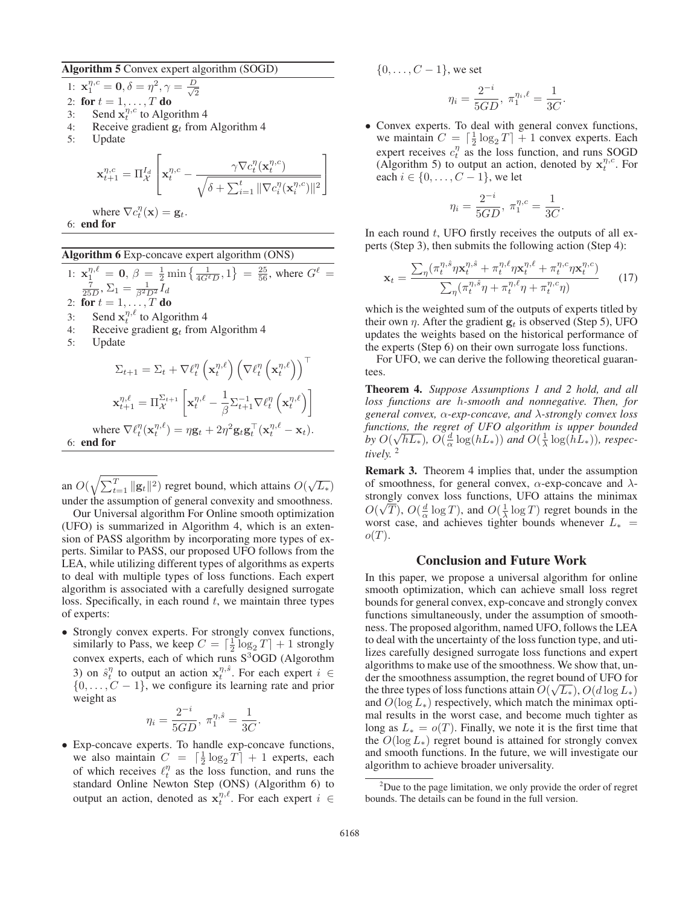Algorithm 5 Convex expert algorithm (SOGD)

2

1:  $\mathbf{x}_1^{\eta,c} = \mathbf{0}, \delta = \eta^2, \gamma = \frac{D}{\sqrt{2}}$ 

- 2: for  $t = 1, ..., T$  do<br>3: Send  $\mathbf{x}_{i}^{\eta,c}$  to Algo
- 3: Send  $\mathbf{x}_t^{n,c}$  to Algorithm 4<br>4. Receive gradient  $\boldsymbol{\sigma}_t$  from
- 4: Receive gradient  $\mathbf{g}_t$  from Algorithm 4<br>5: Update
- Update

$$
\mathbf{x}_{t+1}^{\eta,c} = \Pi_{\mathcal{X}}^{I_d} \left[ \mathbf{x}_t^{\eta,c} - \frac{\gamma \nabla c_t^{\eta}(\mathbf{x}_t^{\eta,c})}{\sqrt{\delta + \sum_{i=1}^t \|\nabla c_i^{\eta}(\mathbf{x}_i^{\eta,c})\|^2}} \right]
$$

- where  $\nabla c_t^{\eta}(\mathbf{x}) = \mathbf{g}_t$ . 6: end for
- 

## Algorithm 6 Exp-concave expert algorithm (ONS)

- 1:  $\mathbf{x}_1^{\eta,\ell} = \mathbf{0}, \beta = \frac{1}{2} \min \left\{ \frac{1}{4G^{\ell}D}, 1 \right\} = \frac{25}{56}$ , where  $G^{\ell} = \frac{7}{56}$  $\frac{7}{25D}, \Sigma_1 = \frac{1}{\beta^2 D^2} I_d$ <br>for  $t = 1$ 2: for  $t = 1, ..., T$  do<br>3. Send  $x^{\eta, \ell}$  to Alge 3: Send  $\mathbf{x}_t^{\eta,\ell}$  to Algorithm 4<br>4. Receive gradient  $\boldsymbol{\alpha}$ , from
- 4: Receive gradient  $\mathbf{g}_t$  from Algorithm 4<br>5: Update
- **Update**

$$
\Sigma_{t+1} = \Sigma_t + \nabla \ell_t^{\eta} \left( \mathbf{x}_t^{\eta, \ell} \right) \left( \nabla \ell_t^{\eta} \left( \mathbf{x}_t^{\eta, \ell} \right) \right)^{\top}
$$

$$
\mathbf{x}_{t+1}^{\eta, \ell} = \Pi_{\mathcal{X}}^{\Sigma_{t+1}} \left[ \mathbf{x}_t^{\eta, \ell} - \frac{1}{\beta} \Sigma_{t+1}^{-1} \nabla \ell_t^{\eta} \left( \mathbf{x}_t^{\eta, \ell} \right) \right]
$$
where  $\nabla \ell_t^{\eta} (\mathbf{x}_t^{\eta, \ell}) = \eta \mathbf{g}_t + 2\eta^2 \mathbf{g}_t \mathbf{g}_t^{\top} (\mathbf{x}_t^{\eta, \ell} - \mathbf{x}_t).$   
6: **end for**

an  $O(\sqrt{\sum_{t=1}^{T} ||g_t||^2})$  regret bound, which attains  $O(\sqrt{L_*})$ under the assumption of general convexity and smoothness.

Our Universal algorithm For Online smooth optimization (UFO) is summarized in Algorithm 4, which is an extension of PASS algorithm by incorporating more types of experts. Similar to PASS, our proposed UFO follows from the LEA, while utilizing different types of algorithms as experts to deal with multiple types of loss functions. Each expert algorithm is associated with a carefully designed surrogate loss. Specifically, in each round  $t$ , we maintain three types of experts:

• Strongly convex experts. For strongly convex functions, similarly to Pass, we keep  $C = \left[\frac{1}{2}\log_2 T\right] + 1$  strongly convex experts, each of which runs S<sup>3</sup>OGD (Algorothm 3) on  $\hat{s}_t^{\eta}$  to output an action  $\mathbf{x}_t^{\eta,\hat{s}}$ . For each expert  $i \in$   $\{0, C-1\}$  we configure its learning rate and prior  $\{0,\ldots,C-1\}$ , we configure its learning rate and prior weight as weight as

$$
\eta_i = \frac{2^{-i}}{5GD}, \ \pi_1^{\eta, \hat{s}} = \frac{1}{3C}.
$$

 $\eta_i = \frac{2}{5GD}, \pi_1^{\eta, \hat{s}} = \frac{1}{3C}.$ <br>• Exp-concave experts. To handle exp-concave functions, we also maintain  $C = \left[\frac{1}{2}\log_2 T\right] + 1$  experts, each<br>of which receives  $\ell^{\eta}$  as the loss function, and runs the of which receives  $\ell_t^{\eta}$  as the loss function, and runs the standard Online Newton Step (ONS) (Algorithm 6) to output an action, denoted as  $\mathbf{x}_t^{\eta,\ell}$ . For each expert  $i \in$ 

 $\{0, \ldots, C-1\}$ , we set

$$
\eta_i = \frac{2^{-i}}{5GD}, \ \pi_1^{\eta_i, \ell} = \frac{1}{3C}.
$$

• Convex experts. To deal with general convex functions, we maintain  $C = \left[\frac{1}{2}\log_2 T\right] + 1$  convex experts. Each expert receives  $c^{\eta}$  as the loss function, and runs SOGD expert receives  $c_t^n$  as the loss function, and runs SOGD (Algorithm 5) to output an action, denoted by  $x_t^{\eta,c}$ . For each  $i \in \{0, C-1\}$  we let each  $i \in \{0, ..., C - 1\}$ , we let

$$
\eta_i = \frac{2^{-i}}{5GD}, \ \pi_1^{\eta,c} = \frac{1}{3C}.
$$

In each round  $t$ , UFO firstly receives the outputs of all experts (Step 3), then submits the following action (Step 4):

$$
\mathbf{x}_t = \frac{\sum_{\eta} (\pi_t^{\eta,\hat{s}} \eta \mathbf{x}_t^{\eta,\hat{s}} + \pi_t^{\eta,\ell} \eta \mathbf{x}_t^{\eta,\ell} + \pi_t^{\eta,c} \eta \mathbf{x}_t^{\eta,c})}{\sum_{\eta} (\pi_t^{\eta,\hat{s}} \eta + \pi_t^{\eta,\ell} \eta + \pi_t^{\eta,c} \eta)} \tag{17}
$$

which is the weighted sum of the outputs of experts titled by their own  $\eta$ . After the gradient  $g_t$  is observed (Step 5), UFO updates the weights based on the historical performance of the experts (Step 6) on their own surrogate loss functions.

For UFO, we can derive the following theoretical guarantees.

Theorem 4. *Suppose Assumptions 1 and 2 hold, and all loss functions are* h*-smooth and nonnegative. Then, for general convex,* α*-exp-concave, and* λ*-strongly convex loss functions, the regret of UFO algorithm is upper bounded by*  $O(\sqrt{hL_*})$ ,  $O(\frac{d}{\alpha} \log(hL_*))$  and  $O(\frac{1}{\lambda} \log(hL_*))$ , respectively 2 *tively.* <sup>2</sup>

Remark 3. Theorem 4 implies that, under the assumption of smoothness, for general convex,  $\alpha$ -exp-concave and  $\lambda$ strongly convex loss functions, UFO attains the minimax  $O(\sqrt{T})$ ,  $O(\frac{d}{\alpha} \log T)$ , and  $O(\frac{1}{\lambda} \log T)$  regret bounds in the worst case and achieves tighter bounds whenever  $L_{\alpha}$ worst case, and achieves tighter bounds whenever  $L_* = o(T)$  $o(T)$ .

## Conclusion and Future Work

In this paper, we propose a universal algorithm for online smooth optimization, which can achieve small loss regret bounds for general convex, exp-concave and strongly convex functions simultaneously, under the assumption of smoothness. The proposed algorithm, named UFO, follows the LEA to deal with the uncertainty of the loss function type, and utilizes carefully designed surrogate loss functions and expert algorithms to make use of the smoothness. We show that, under the smoothness assumption, the regret bound of UFO for the three types of loss functions attain  $O(\sqrt{L_*})$ ,  $O(d \log L_*)$ <br>and  $O(\log L_*)$  respectively which match the minimax ontiand  $O(\log L_*)$  respectively, which match the minimax optimal results in the worst case, and become much tighter as long as  $L_* = o(T)$ . Finally, we note it is the first time that the  $O(\log L_*)$  regret bound is attained for strongly convex and smooth functions. In the future, we will investigate our algorithm to achieve broader universality.

 $2$ Due to the page limitation, we only provide the order of regret bounds. The details can be found in the full version.